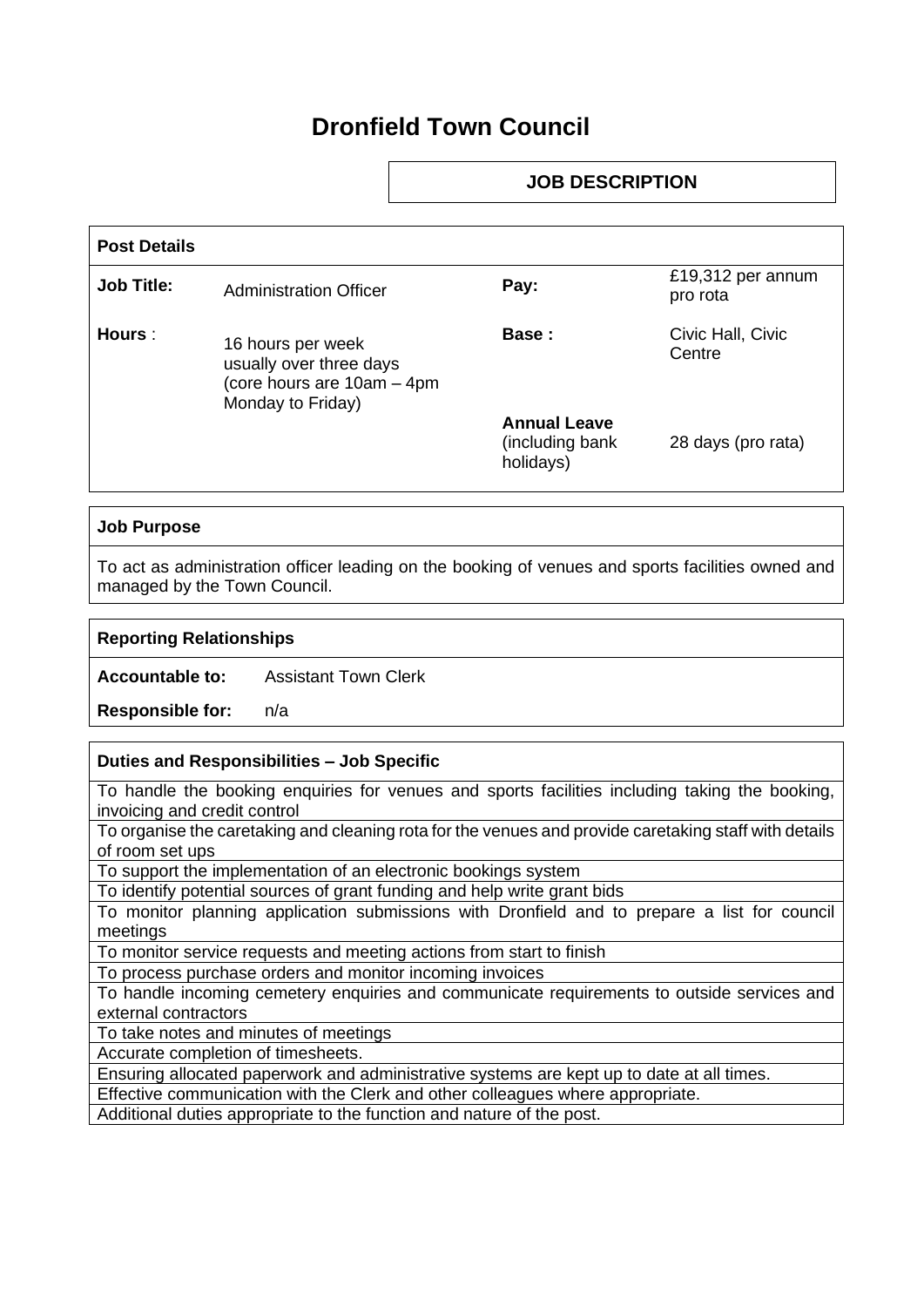# **Dronfield Town Council**

# **JOB DESCRIPTION**

| <b>Post Details</b> |                                                                                                 |                                                     |                               |
|---------------------|-------------------------------------------------------------------------------------------------|-----------------------------------------------------|-------------------------------|
| <b>Job Title:</b>   | <b>Administration Officer</b>                                                                   | Pay:                                                | £19,312 per annum<br>pro rota |
| Hours :             | 16 hours per week<br>usually over three days<br>(core hours are 10am – 4pm<br>Monday to Friday) | Base:                                               | Civic Hall, Civic<br>Centre   |
|                     |                                                                                                 | <b>Annual Leave</b><br>(including bank<br>holidays) | 28 days (pro rata)            |

### **Job Purpose**

To act as administration officer leading on the booking of venues and sports facilities owned and managed by the Town Council.

#### **Reporting Relationships**

**Accountable to:** Assistant Town Clerk

**Responsible for:** n/a

#### **Duties and Responsibilities – Job Specific**

To handle the booking enquiries for venues and sports facilities including taking the booking, invoicing and credit control

To organise the caretaking and cleaning rota for the venues and provide caretaking staff with details of room set ups

To support the implementation of an electronic bookings system

To identify potential sources of grant funding and help write grant bids

To monitor planning application submissions with Dronfield and to prepare a list for council meetings

To monitor service requests and meeting actions from start to finish

To process purchase orders and monitor incoming invoices

To handle incoming cemetery enquiries and communicate requirements to outside services and external contractors

To take notes and minutes of meetings

Accurate completion of timesheets.

Ensuring allocated paperwork and administrative systems are kept up to date at all times.

Effective communication with the Clerk and other colleagues where appropriate.

Additional duties appropriate to the function and nature of the post.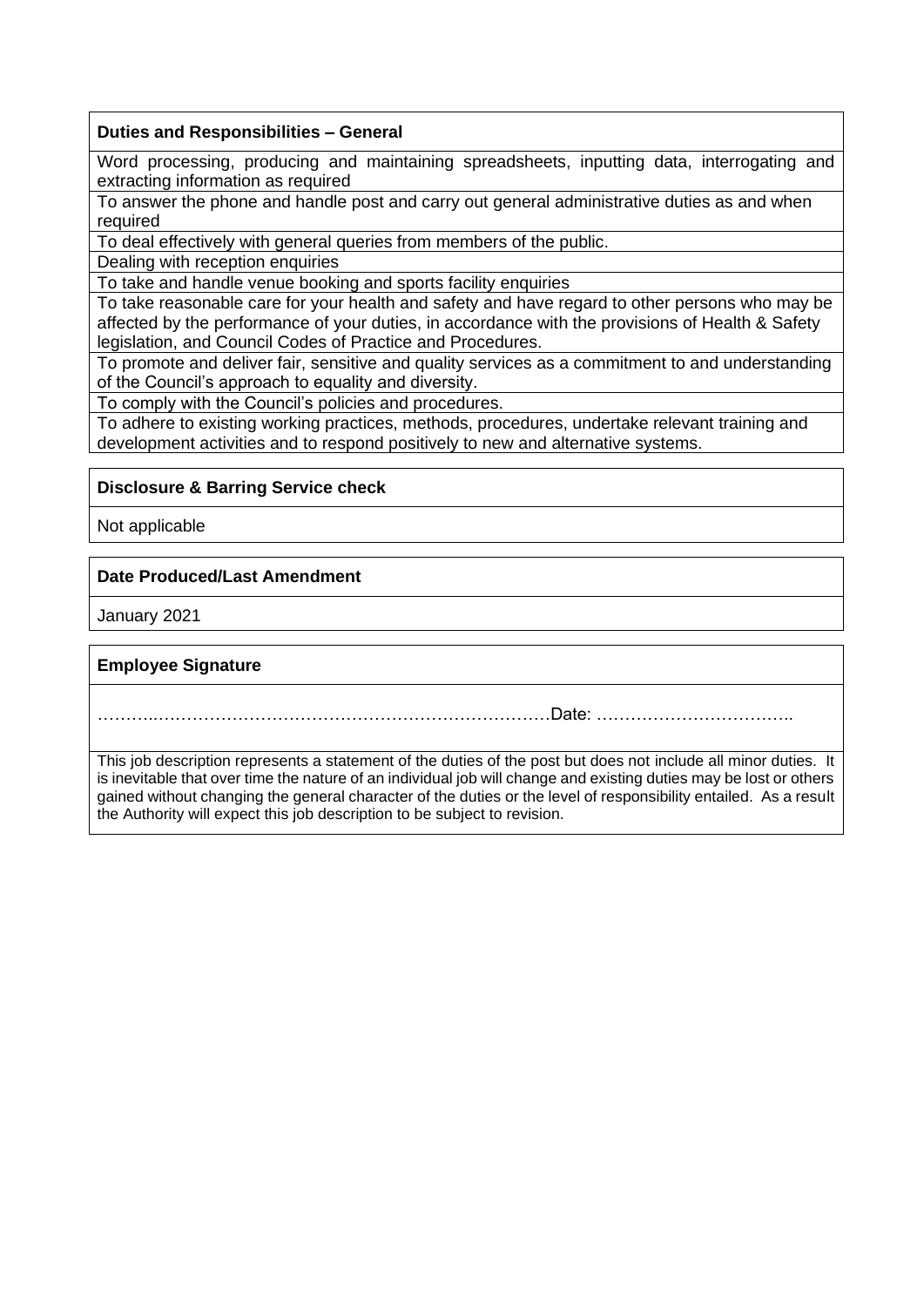#### **Duties and Responsibilities – General**

Word processing, producing and maintaining spreadsheets, inputting data, interrogating and extracting information as required

To answer the phone and handle post and carry out general administrative duties as and when required

To deal effectively with general queries from members of the public.

Dealing with reception enquiries

To take and handle venue booking and sports facility enquiries

To take reasonable care for your health and safety and have regard to other persons who may be affected by the performance of your duties, in accordance with the provisions of Health & Safety legislation, and Council Codes of Practice and Procedures.

To promote and deliver fair, sensitive and quality services as a commitment to and understanding of the Council's approach to equality and diversity.

To comply with the Council's policies and procedures.

To adhere to existing working practices, methods, procedures, undertake relevant training and development activities and to respond positively to new and alternative systems.

## **Disclosure & Barring Service check**

Not applicable

## **Date Produced/Last Amendment**

January 2021

## **Employee Signature**

………..……………………………………………………………Date: ……………………………..

This job description represents a statement of the duties of the post but does not include all minor duties. It is inevitable that over time the nature of an individual job will change and existing duties may be lost or others gained without changing the general character of the duties or the level of responsibility entailed. As a result the Authority will expect this job description to be subject to revision.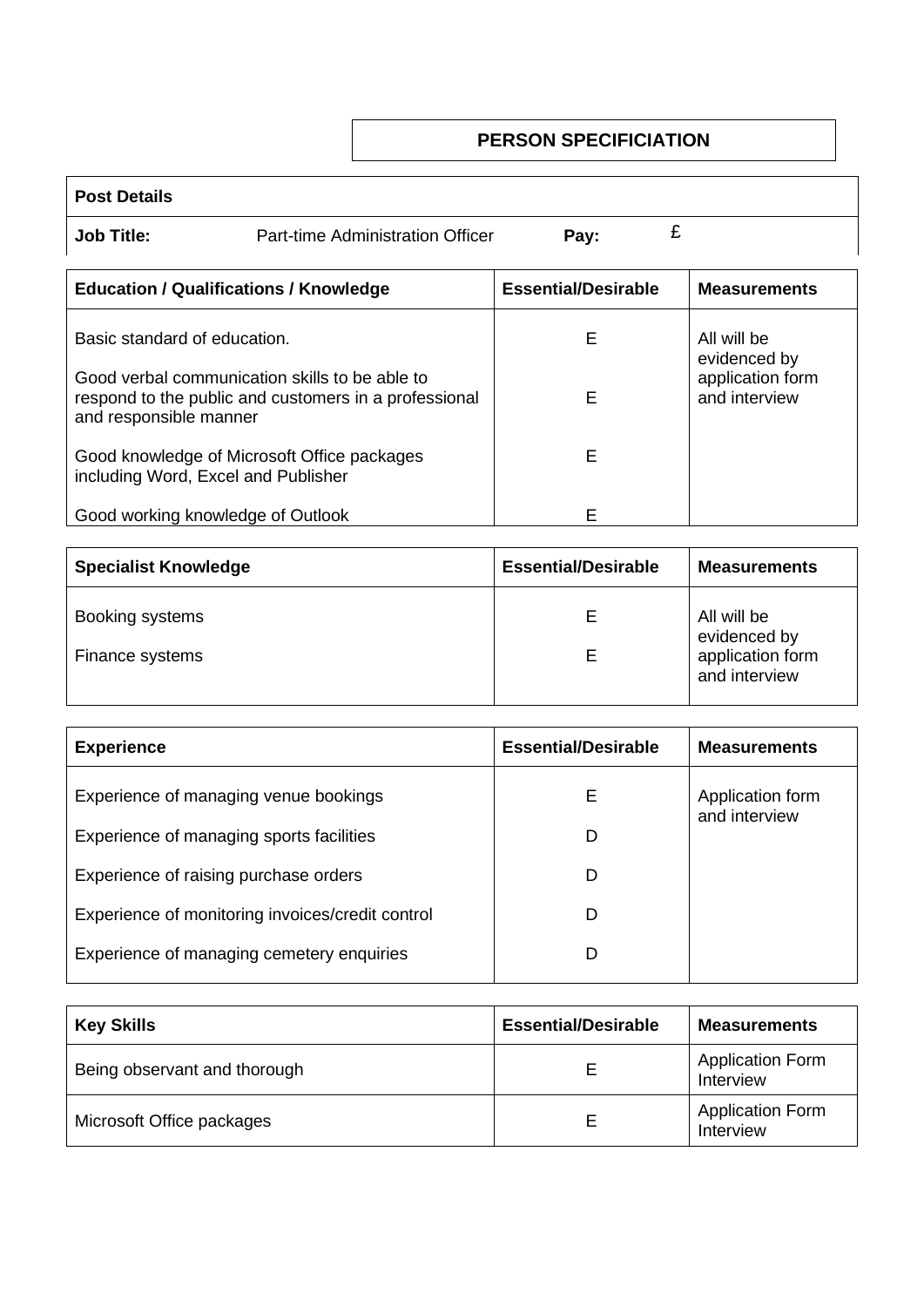# **PERSON SPECIFICIATION**

| <b>Post Details</b>                           |                                                                                                         |                            |                                                   |
|-----------------------------------------------|---------------------------------------------------------------------------------------------------------|----------------------------|---------------------------------------------------|
| <b>Job Title:</b>                             | Part-time Administration Officer                                                                        | £<br>Pay:                  |                                                   |
| <b>Education / Qualifications / Knowledge</b> |                                                                                                         | <b>Essential/Desirable</b> | <b>Measurements</b>                               |
| Basic standard of education.                  |                                                                                                         | Е                          | All will be                                       |
| and responsible manner                        | Good verbal communication skills to be able to<br>respond to the public and customers in a professional | F                          | evidenced by<br>application form<br>and interview |
| including Word, Excel and Publisher           | Good knowledge of Microsoft Office packages                                                             | Е                          |                                                   |
| Good working knowledge of Outlook             |                                                                                                         | F                          |                                                   |

| <b>Specialist Knowledge</b> | <b>Essential/Desirable</b> | <b>Measurements</b>               |  |
|-----------------------------|----------------------------|-----------------------------------|--|
| Booking systems             |                            | All will be<br>evidenced by       |  |
| Finance systems             |                            | application form<br>and interview |  |

| <b>Experience</b>                                | <b>Essential/Desirable</b> | <b>Measurements</b>               |  |
|--------------------------------------------------|----------------------------|-----------------------------------|--|
| Experience of managing venue bookings            | E                          | Application form<br>and interview |  |
| Experience of managing sports facilities         | D                          |                                   |  |
| Experience of raising purchase orders            | D                          |                                   |  |
| Experience of monitoring invoices/credit control | D                          |                                   |  |
| Experience of managing cemetery enquiries        | D                          |                                   |  |

| <b>Key Skills</b>            | <b>Essential/Desirable</b> | <b>Measurements</b>                  |
|------------------------------|----------------------------|--------------------------------------|
| Being observant and thorough |                            | <b>Application Form</b><br>Interview |
| Microsoft Office packages    |                            | <b>Application Form</b><br>Interview |